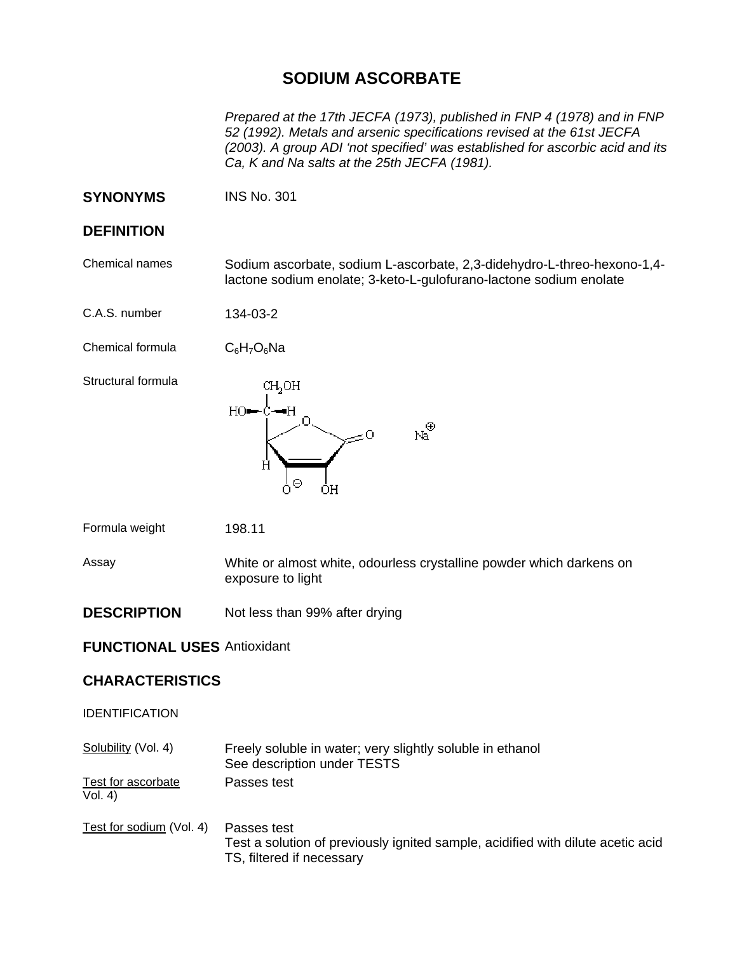## **SODIUM ASCORBATE**

*Prepared at the 17th JECFA (1973), published in FNP 4 (1978) and in FNP 52 (1992). Metals and arsenic specifications revised at the 61st JECFA (2003). A group ADI 'not specified' was established for ascorbic acid and its Ca, K and Na salts at the 25th JECFA (1981).* 

**SYNONYMS** INS No. 301

## **DEFINITION**

Chemical names Sodium ascorbate, sodium L-ascorbate, 2,3-didehydro-L-threo-hexono-1,4 lactone sodium enolate; 3-keto-L-gulofurano-lactone sodium enolate

C.A.S. number 134-03-2

Chemical formula  $C_6H_7O_6Na$ 

Structural formula



Formula weight 198.11

Assay White or almost white, odourless crystalline powder which darkens on exposure to light

**DESCRIPTION** Not less than 99% after drying

## **FUNCTIONAL USES** Antioxidant

## **CHARACTERISTICS**

IDENTIFICATION

Solubility (Vol. 4) Freely soluble in water; very slightly soluble in ethanol See description under TESTS Test for ascorbate Passes test

 $Vol. 4)$ 

Test for sodium (Vol. 4) Passes test Test a solution of previously ignited sample, acidified with dilute acetic acid TS, filtered if necessary